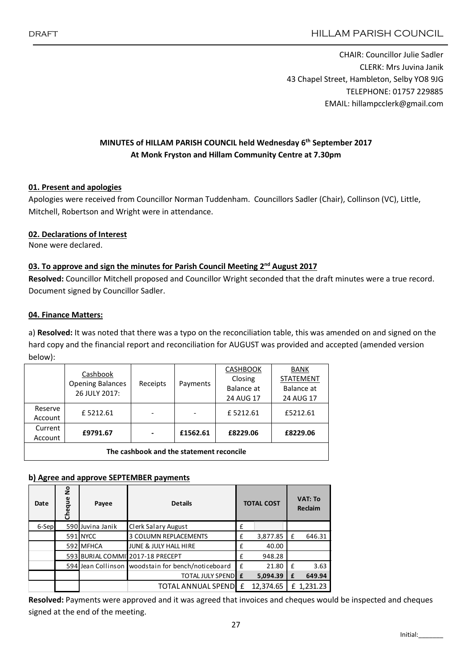CHAIR: Councillor Julie Sadler CLERK: Mrs Juvina Janik 43 Chapel Street, Hambleton, Selby YO8 9JG TELEPHONE: 01757 229885 EMAIL: hillampcclerk@gmail.com

# MINUTES of HILLAM PARISH COUNCIL held Wednesday 6<sup>th</sup> September 2017 At Monk Fryston and Hillam Community Centre at 7.30pm

### 01. Present and apologies

Apologies were received from Councillor Norman Tuddenham. Councillors Sadler (Chair), Collinson (VC), Little, Mitchell, Robertson and Wright were in attendance.

## 02. Declarations of Interest

None were declared.

## 03. To approve and sign the minutes for Parish Council Meeting  $2^{nd}$  August 2017

Resolved: Councillor Mitchell proposed and Councillor Wright seconded that the draft minutes were a true record. Document signed by Councillor Sadler.

### 04. Finance Matters:

a) Resolved: It was noted that there was a typo on the reconciliation table, this was amended on and signed on the hard copy and the financial report and reconciliation for AUGUST was provided and accepted (amended version below):

|                                          | Cashbook<br><b>Opening Balances</b><br>26 JULY 2017: | Receipts |          | <b>CASHBOOK</b> | <b>BANK</b><br><b>STATEMENT</b> |  |  |  |  |
|------------------------------------------|------------------------------------------------------|----------|----------|-----------------|---------------------------------|--|--|--|--|
|                                          |                                                      |          | Payments | Closing         |                                 |  |  |  |  |
|                                          |                                                      |          |          | Balance at      | Balance at                      |  |  |  |  |
|                                          |                                                      |          |          | 24 AUG 17       | 24 AUG 17                       |  |  |  |  |
| Reserve                                  | £5212.61                                             |          |          | £5212.61        | £5212.61                        |  |  |  |  |
| Account                                  |                                                      |          |          |                 |                                 |  |  |  |  |
| Current                                  | £9791.67                                             |          | £1562.61 | £8229.06        | £8229.06                        |  |  |  |  |
| Account                                  |                                                      | -        |          |                 |                                 |  |  |  |  |
| The cashbook and the statement reconcile |                                                      |          |          |                 |                                 |  |  |  |  |

### b) Agree and approve SEPTEMBER payments

| Date  | $\frac{1}{2}$<br>Cheque | Payee            | <b>Details</b>                                       | <b>TOTAL COST</b> |           | <b>VAT: To</b><br><b>Reclaim</b> |            |
|-------|-------------------------|------------------|------------------------------------------------------|-------------------|-----------|----------------------------------|------------|
| 6-Sep |                         | 590 Juvina Janik | Clerk Salary August                                  | £                 |           |                                  |            |
|       |                         | 591 NYCC         | <b>3 COLUMN REPLACEMENTS</b>                         | £                 | 3,877.85  | £                                | 646.31     |
|       |                         | 592 MFHCA        | JUNE & JULY HALL HIRE                                | £                 | 40.00     |                                  |            |
|       |                         |                  | 593 BURIAL COMMI12017-18 PRECEPT                     | £                 | 948.28    |                                  |            |
|       |                         |                  | 594 Jean Collinson   woodstain for bench/noticeboard | £                 | 21.80     | f                                | 3.63       |
|       |                         |                  | <b>TOTAL JULY SPEND E</b>                            |                   | 5,094.39  | £                                | 649.94     |
|       |                         |                  | TOTAL ANNUAL SPENDL £                                |                   | 12,374.65 |                                  | £ 1,231.23 |

Resolved: Payments were approved and it was agreed that invoices and cheques would be inspected and cheques signed at the end of the meeting.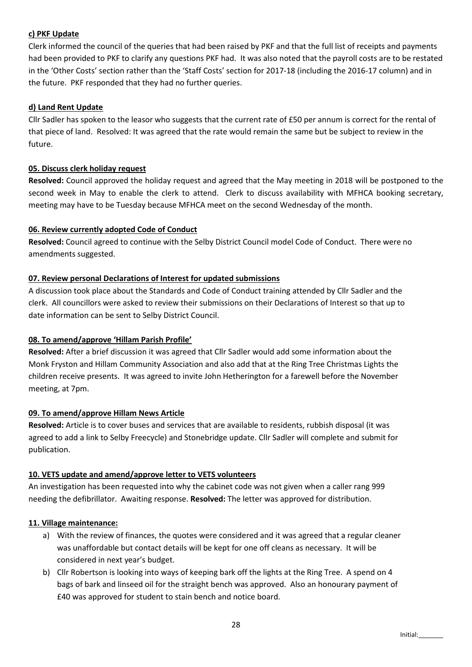### c) PKF Update

Clerk informed the council of the queries that had been raised by PKF and that the full list of receipts and payments had been provided to PKF to clarify any questions PKF had. It was also noted that the payroll costs are to be restated in the 'Other Costs' section rather than the 'Staff Costs' section for 2017-18 (including the 2016-17 column) and in the future. PKF responded that they had no further queries.

## d) Land Rent Update

Cllr Sadler has spoken to the leasor who suggests that the current rate of £50 per annum is correct for the rental of that piece of land. Resolved: It was agreed that the rate would remain the same but be subject to review in the future.

### 05. Discuss clerk holiday request

Resolved: Council approved the holiday request and agreed that the May meeting in 2018 will be postponed to the second week in May to enable the clerk to attend. Clerk to discuss availability with MFHCA booking secretary, meeting may have to be Tuesday because MFHCA meet on the second Wednesday of the month.

## 06. Review currently adopted Code of Conduct

Resolved: Council agreed to continue with the Selby District Council model Code of Conduct. There were no amendments suggested.

### 07. Review personal Declarations of Interest for updated submissions

A discussion took place about the Standards and Code of Conduct training attended by Cllr Sadler and the clerk. All councillors were asked to review their submissions on their Declarations of Interest so that up to date information can be sent to Selby District Council.

### 08. To amend/approve 'Hillam Parish Profile'

Resolved: After a brief discussion it was agreed that Cllr Sadler would add some information about the Monk Fryston and Hillam Community Association and also add that at the Ring Tree Christmas Lights the children receive presents. It was agreed to invite John Hetherington for a farewell before the November meeting, at 7pm.

### 09. To amend/approve Hillam News Article

Resolved: Article is to cover buses and services that are available to residents, rubbish disposal (it was agreed to add a link to Selby Freecycle) and Stonebridge update. Cllr Sadler will complete and submit for publication.

### 10. VETS update and amend/approve letter to VETS volunteers

An investigation has been requested into why the cabinet code was not given when a caller rang 999 needing the defibrillator. Awaiting response. Resolved: The letter was approved for distribution.

### 11. Village maintenance:

- a) With the review of finances, the quotes were considered and it was agreed that a regular cleaner was unaffordable but contact details will be kept for one off cleans as necessary. It will be considered in next year's budget.
- b) Cllr Robertson is looking into ways of keeping bark off the lights at the Ring Tree. A spend on 4 bags of bark and linseed oil for the straight bench was approved. Also an honourary payment of £40 was approved for student to stain bench and notice board.